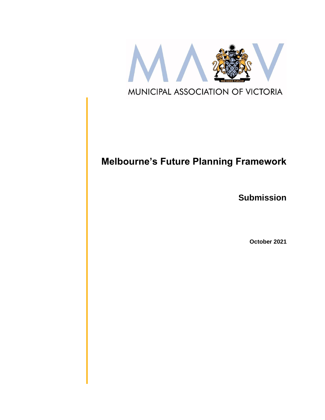

# **Melbourne's Future Planning Framework**

**Submission**

**October 2021**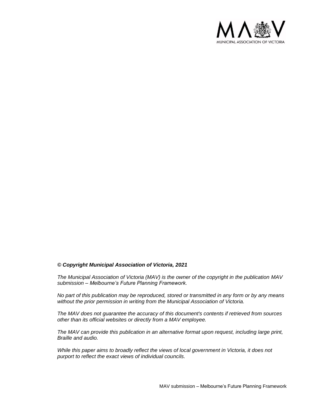

#### *© Copyright Municipal Association of Victoria, 2021*

*The Municipal Association of Victoria (MAV) is the owner of the copyright in the publication MAV submission – Melbourne's Future Planning Framework.* 

*No part of this publication may be reproduced, stored or transmitted in any form or by any means without the prior permission in writing from the Municipal Association of Victoria.* 

*The MAV does not guarantee the accuracy of this document's contents if retrieved from sources other than its official websites or directly from a MAV employee.*

*The MAV can provide this publication in an alternative format upon request, including large print, Braille and audio.* 

*While this paper aims to broadly reflect the views of local government in Victoria, it does not purport to reflect the exact views of individual councils.*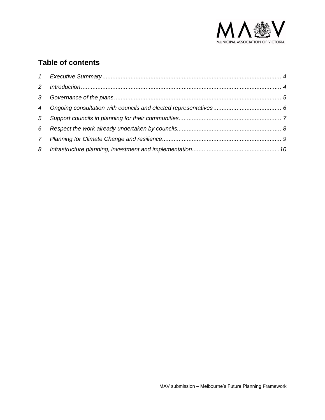

### **Table of contents**

| 3              |  |
|----------------|--|
| $\overline{4}$ |  |
| 5              |  |
| 6              |  |
| $7^{\circ}$    |  |
| 8              |  |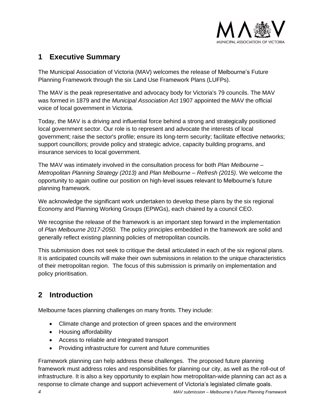

### <span id="page-3-0"></span>**1 Executive Summary**

The Municipal Association of Victoria (MAV) welcomes the release of Melbourne's Future Planning Framework through the six Land Use Framework Plans (LUFPs).

The MAV is the peak representative and advocacy body for Victoria's 79 councils. The MAV was formed in 1879 and the *Municipal Association Act* 1907 appointed the MAV the official voice of local government in Victoria.

Today, the MAV is a driving and influential force behind a strong and strategically positioned local government sector. Our role is to represent and advocate the interests of local government; raise the sector's profile; ensure its long-term security; facilitate effective networks; support councillors; provide policy and strategic advice, capacity building programs, and insurance services to local government.

The MAV was intimately involved in the consultation process for both *Plan Melbourne – Metropolitan Planning Strategy (2013)* and *Plan Melbourne – Refresh (2015)*. We welcome the opportunity to again outline our position on high-level issues relevant to Melbourne's future planning framework.

We acknowledge the significant work undertaken to develop these plans by the six regional Economy and Planning Working Groups (EPWGs), each chaired by a council CEO.

We recognise the release of the framework is an important step forward in the implementation of *Plan Melbourne 2017-2050.* The policy principles embedded in the framework are solid and generally reflect existing planning policies of metropolitan councils.

This submission does not seek to critique the detail articulated in each of the six regional plans. It is anticipated councils will make their own submissions in relation to the unique characteristics of their metropolitan region. The focus of this submission is primarily on implementation and policy prioritisation.

## <span id="page-3-1"></span>**2 Introduction**

Melbourne faces planning challenges on many fronts. They include:

- Climate change and protection of green spaces and the environment
- Housing affordability
- Access to reliable and integrated transport
- Providing infrastructure for current and future communities

Framework planning can help address these challenges. The proposed future planning framework must address roles and responsibilities for planning our city, as well as the roll-out of infrastructure. It is also a key opportunity to explain how metropolitan-wide planning can act as a response to climate change and support achievement of Victoria's legislated climate goals.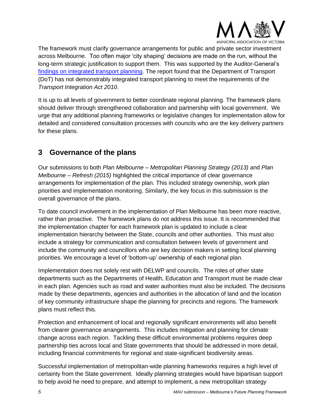

The framework must clarify governance arrangements for public and private sector investment across Melbourne. Too often major 'city shaping' decisions are made on the run, without the long-term strategic justification to support them. This was supported by the Auditor-General's findings [on integrated transport planning.](https://www.audit.vic.gov.au/report/integrated-transport-planning?section=) The report found that the Department of Transport (DoT) has not demonstrably integrated transport planning to meet the requirements of the *Transport Integration Act 2010*.

It is up to all levels of government to better coordinate regional planning. The framework plans should deliver through strengthened collaboration and partnership with local government. We urge that any additional planning frameworks or legislative changes for implementation allow for detailed and considered consultation processes with councils who are the key delivery partners for these plans.

### <span id="page-4-0"></span>**3 Governance of the plans**

Our submissions to both *Plan Melbourne – Metropolitan Planning Strategy (2013)* and *Plan Melbourne – Refresh (2015)* highlighted the critical importance of clear governance arrangements for implementation of the plan. This included strategy ownership, work plan priorities and implementation monitoring. Similarly, the key focus in this submission is the overall governance of the plans.

To date council involvement in the implementation of Plan Melbourne has been more reactive, rather than proactive. The framework plans do not address this issue. It is recommended that the implementation chapter for each framework plan is updated to include a clear implementation hierarchy between the State, councils and other authorities. This must also include a strategy for communication and consultation between levels of government and include the community and councillors who are key decision makers in setting local planning priorities. We encourage a level of 'bottom-up' ownership of each regional plan.

Implementation does not solely rest with DELWP and councils. The roles of other state departments such as the Departments of Health, Education and Transport must be made clear in each plan. Agencies such as road and water authorities must also be included. The decisions made by these departments, agencies and authorities in the allocation of land and the location of key community infrastructure shape the planning for precincts and regions. The framework plans must reflect this.

Protection and enhancement of local and regionally significant environments will also benefit from clearer governance arrangements. This includes mitigation and planning for climate change across each region. Tackling these difficult environmental problems requires deep partnership ties across local and State governments that should be addressed in more detail, including financial commitments for regional and state-significant biodiversity areas.

Successful implementation of metropolitan-wide planning frameworks requires a high level of certainty from the State government. Ideally planning strategies would have bipartisan support to help avoid he need to prepare, and attempt to implement, a new metropolitan strategy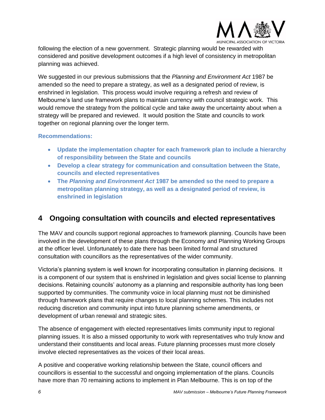

following the election of a new government. Strategic planning would be rewarded with considered and positive development outcomes if a high level of consistency in metropolitan planning was achieved.

We suggested in our previous submissions that the *Planning and Environment Act* 1987 be amended so the need to prepare a strategy, as well as a designated period of review, is enshrined in legislation. This process would involve requiring a refresh and review of Melbourne's land use framework plans to maintain currency with council strategic work. This would remove the strategy from the political cycle and take away the uncertainty about when a strategy will be prepared and reviewed. It would position the State and councils to work together on regional planning over the longer term.

#### **Recommendations:**

- **Update the implementation chapter for each framework plan to include a hierarchy of responsibility between the State and councils**
- **Develop a clear strategy for communication and consultation between the State, councils and elected representatives**
- **The** *Planning and Environment Act* **1987 be amended so the need to prepare a metropolitan planning strategy, as well as a designated period of review, is enshrined in legislation**

### <span id="page-5-0"></span>**4 Ongoing consultation with councils and elected representatives**

The MAV and councils support regional approaches to framework planning. Councils have been involved in the development of these plans through the Economy and Planning Working Groups at the officer level. Unfortunately to date there has been limited formal and structured consultation with councillors as the representatives of the wider community.

Victoria's planning system is well known for incorporating consultation in planning decisions. It is a component of our system that is enshrined in legislation and gives social license to planning decisions. Retaining councils' autonomy as a planning and responsible authority has long been supported by communities. The community voice in local planning must not be diminished through framework plans that require changes to local planning schemes. This includes not reducing discretion and community input into future planning scheme amendments, or development of urban renewal and strategic sites.

The absence of engagement with elected representatives limits community input to regional planning issues. It is also a missed opportunity to work with representatives who truly know and understand their constituents and local areas. Future planning processes must more closely involve elected representatives as the voices of their local areas.

A positive and cooperative working relationship between the State, council officers and councillors is essential to the successful and ongoing implementation of the plans. Councils have more than 70 remaining actions to implement in Plan Melbourne. This is on top of the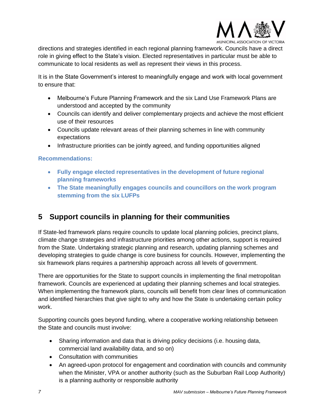

directions and strategies identified in each regional planning framework. Councils have a direct role in giving effect to the State's vision. Elected representatives in particular must be able to communicate to local residents as well as represent their views in this process.

It is in the State Government's interest to meaningfully engage and work with local government to ensure that:

- Melbourne's Future Planning Framework and the six Land Use Framework Plans are understood and accepted by the community
- Councils can identify and deliver complementary projects and achieve the most efficient use of their resources
- Councils update relevant areas of their planning schemes in line with community expectations
- Infrastructure priorities can be jointly agreed, and funding opportunities aligned

#### **Recommendations:**

- **Fully engage elected representatives in the development of future regional planning frameworks**
- **The State meaningfully engages councils and councillors on the work program stemming from the six LUFPs**

### <span id="page-6-0"></span>**5 Support councils in planning for their communities**

If State-led framework plans require councils to update local planning policies, precinct plans, climate change strategies and infrastructure priorities among other actions, support is required from the State. Undertaking strategic planning and research, updating planning schemes and developing strategies to guide change is core business for councils. However, implementing the six framework plans requires a partnership approach across all levels of government.

There are opportunities for the State to support councils in implementing the final metropolitan framework. Councils are experienced at updating their planning schemes and local strategies. When implementing the framework plans, councils will benefit from clear lines of communication and identified hierarchies that give sight to why and how the State is undertaking certain policy work.

Supporting councils goes beyond funding, where a cooperative working relationship between the State and councils must involve:

- Sharing information and data that is driving policy decisions (i.e. housing data, commercial land availability data, and so on)
- Consultation with communities
- An agreed-upon protocol for engagement and coordination with councils and community when the Minister, VPA or another authority (such as the Suburban Rail Loop Authority) is a planning authority or responsible authority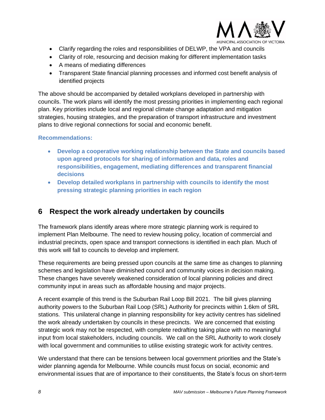

- Clarify regarding the roles and responsibilities of DELWP, the VPA and councils
- Clarity of role, resourcing and decision making for different implementation tasks
- A means of mediating differences
- Transparent State financial planning processes and informed cost benefit analysis of identified projects

The above should be accompanied by detailed workplans developed in partnership with councils. The work plans will identify the most pressing priorities in implementing each regional plan. Key priorities include local and regional climate change adaptation and mitigation strategies, housing strategies, and the preparation of transport infrastructure and investment plans to drive regional connections for social and economic benefit.

#### **Recommendations:**

- **Develop a cooperative working relationship between the State and councils based upon agreed protocols for sharing of information and data, roles and responsibilities, engagement, mediating differences and transparent financial decisions**
- **Develop detailed workplans in partnership with councils to identify the most pressing strategic planning priorities in each region**

### <span id="page-7-0"></span>**6 Respect the work already undertaken by councils**

The framework plans identify areas where more strategic planning work is required to implement Plan Melbourne. The need to review housing policy, location of commercial and industrial precincts, open space and transport connections is identified in each plan. Much of this work will fall to councils to develop and implement.

These requirements are being pressed upon councils at the same time as changes to planning schemes and legislation have diminished council and community voices in decision making. These changes have severely weakened consideration of local planning policies and direct community input in areas such as affordable housing and major projects.

A recent example of this trend is the Suburban Rail Loop Bill 2021. The bill gives planning authority powers to the Suburban Rail Loop (SRL) Authority for precincts within 1.6km of SRL stations. This unilateral change in planning responsibility for key activity centres has sidelined the work already undertaken by councils in these precincts. We are concerned that existing strategic work may not be respected, with complete redrafting taking place with no meaningful input from local stakeholders, including councils. We call on the SRL Authority to work closely with local government and communities to utilise existing strategic work for activity centres.

We understand that there can be tensions between local government priorities and the State's wider planning agenda for Melbourne. While councils must focus on social, economic and environmental issues that are of importance to their constituents, the State's focus on short-term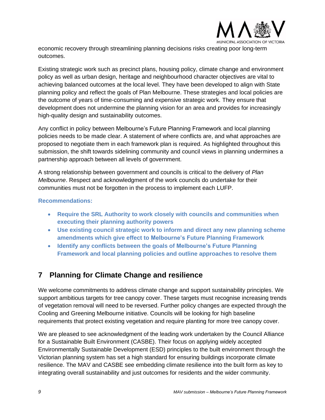

economic recovery through streamlining planning decisions risks creating poor long-term outcomes.

Existing strategic work such as precinct plans, housing policy, climate change and environment policy as well as urban design, heritage and neighbourhood character objectives are vital to achieving balanced outcomes at the local level. They have been developed to align with State planning policy and reflect the goals of Plan Melbourne. These strategies and local policies are the outcome of years of time-consuming and expensive strategic work. They ensure that development does not undermine the planning vision for an area and provides for increasingly high-quality design and sustainability outcomes.

Any conflict in policy between Melbourne's Future Planning Framework and local planning policies needs to be made clear. A statement of where conflicts are, and what approaches are proposed to negotiate them in each framework plan is required. As highlighted throughout this submission, the shift towards sidelining community and council views in planning undermines a partnership approach between all levels of government.

A strong relationship between government and councils is critical to the delivery of *Plan Melbourne*. Respect and acknowledgment of the work councils do undertake for their communities must not be forgotten in the process to implement each LUFP.

#### **Recommendations:**

- **Require the SRL Authority to work closely with councils and communities when executing their planning authority powers**
- **Use existing council strategic work to inform and direct any new planning scheme amendments which give effect to Melbourne's Future Planning Framework**
- **Identify any conflicts between the goals of Melbourne's Future Planning Framework and local planning policies and outline approaches to resolve them**

### <span id="page-8-0"></span>**7 Planning for Climate Change and resilience**

We welcome commitments to address climate change and support sustainability principles. We support ambitious targets for tree canopy cover. These targets must recognise increasing trends of vegetation removal will need to be reversed. Further policy changes are expected through the Cooling and Greening Melbourne initiative. Councils will be looking for high baseline requirements that protect existing vegetation and require planting for more tree canopy cover.

We are pleased to see acknowledgment of the leading work undertaken by the Council Alliance for a Sustainable Built Environment (CASBE). Their focus on applying widely accepted Environmentally Sustainable Development (ESD) principles to the built environment through the Victorian planning system has set a high standard for ensuring buildings incorporate climate resilience. The MAV and CASBE see embedding climate resilience into the built form as key to integrating overall sustainability and just outcomes for residents and the wider community.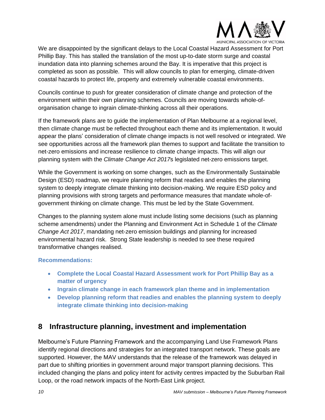

We are disappointed by the significant delays to the Local Coastal Hazard Assessment for Port Phillip Bay. This has stalled the translation of the most up-to-date storm surge and coastal inundation data into planning schemes around the Bay. It is imperative that this project is completed as soon as possible. This will allow councils to plan for emerging, climate-driven coastal hazards to protect life, property and extremely vulnerable coastal environments.

Councils continue to push for greater consideration of climate change and protection of the environment within their own planning schemes. Councils are moving towards whole-oforganisation change to ingrain climate-thinking across all their operations.

If the framework plans are to guide the implementation of Plan Melbourne at a regional level, then climate change must be reflected throughout each theme and its implementation. It would appear the plans' consideration of climate change impacts is not well resolved or integrated. We see opportunities across all the framework plan themes to support and facilitate the transition to net-zero emissions and increase resilience to climate change impacts. This will align our planning system with the *Climate Change Act 2017*s legislated net-zero emissions target.

While the Government is working on some changes, such as the Environmentally Sustainable Design (ESD) roadmap, we require planning reform that readies and enables the planning system to deeply integrate climate thinking into decision-making. We require ESD policy and planning provisions with strong targets and performance measures that mandate whole-ofgovernment thinking on climate change. This must be led by the State Government.

Changes to the planning system alone must include listing some decisions (such as planning scheme amendments) under the Planning and Environment Act in Schedule 1 of the *Climate Change Act 2017*, mandating net-zero emission buildings and planning for increased environmental hazard risk. Strong State leadership is needed to see these required transformative changes realised.

#### **Recommendations:**

- **Complete the Local Coastal Hazard Assessment work for Port Phillip Bay as a matter of urgency**
- **Ingrain climate change in each framework plan theme and in implementation**
- **Develop planning reform that readies and enables the planning system to deeply integrate climate thinking into decision-making**

#### <span id="page-9-0"></span>**8 Infrastructure planning, investment and implementation**

Melbourne's Future Planning Framework and the accompanying Land Use Framework Plans identify regional directions and strategies for an integrated transport network. These goals are supported. However, the MAV understands that the release of the framework was delayed in part due to shifting priorities in government around major transport planning decisions. This included changing the plans and policy intent for activity centres impacted by the Suburban Rail Loop, or the road network impacts of the North-East Link project.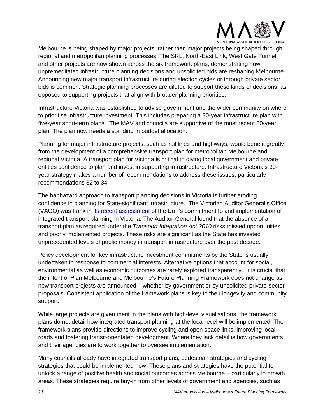

Melbourne is being shaped by major projects, rather than major projects being shaped through regional and metropolitan planning processes. The SRL, North-East Link, West Gate Tunnel and other projects are now shown across the six framework plans, demonstrating how unpremeditated infrastructure planning decisions and unsolicited bids are reshaping Melbourne. Announcing new major transport infrastructure during election cycles or through private sector bids is common. Strategic planning processes are diluted to support these kinds of decisions, as opposed to supporting projects that align with broader planning priorities.

Infrastructure Victoria was established to advise government and the wider community on where to prioritise infrastructure investment. This includes preparing a 30-year infrastructure plan with five-year short-term plans. The MAV and councils are supportive of the most recent 30-year plan. The plan now needs a standing in budget allocation.

Planning for major infrastructure projects, such as rail lines and highways, would benefit greatly from the development of a comprehensive transport plan for metropolitan Melbourne and regional Victoria. A transport plan for Victoria is critical to giving local government and private entities confidence to plan and invest in supporting infrastructure. Infrastructure Victoria's 30 year strategy makes a number of recommendations to address these issues, particularly recommendations 32 to 34.

The haphazard approach to transport planning decisions in Victoria is further eroding confidence in planning for State-significant infrastructure. The Victorian Auditor General's Office (VAGO) was frank in [its recent assessment](https://www.audit.vic.gov.au/report/integrated-transport-planning?section=) of the DoT's commitment to and implementation of integrated transport planning in Victoria. The Auditor-General found that the absence of a transport plan as required under the *Transport Integration Act 2010* risks missed opportunities and poorly implemented projects. These risks are significant as the State has invested unprecedented levels of public money in transport infrastructure over the past decade.

Policy development for key infrastructure investment commitments by the State is usually undertaken in response to commercial interests. Alternative options that account for social, environmental as well as economic outcomes are rarely explored transparently. It is crucial that the intent of Plan Melbourne and Melbourne's Future Planning Framework does not change as new transport projects are announced – whether by government or by unsolicited private-sector proposals. Consistent application of the framework plans is key to their longevity and community support.

While large projects are given merit in the plans with high-level visualisations, the framework plans do not detail how integrated transport planning at the local level will be implemented. The framework plans provide directions to improve cycling and open space links, improving local roads and fostering transit-orientated development. Where they lack detail is how governments and their agencies are to work together to oversee implementation.

Many councils already have integrated transport plans, pedestrian strategies and cycling strategies that could be implemented now. These plans and strategies have the potential to unlock a range of positive health and social outcomes across Melbourne – particularly in growth areas. These strategies require buy-in from other levels of government and agencies, such as